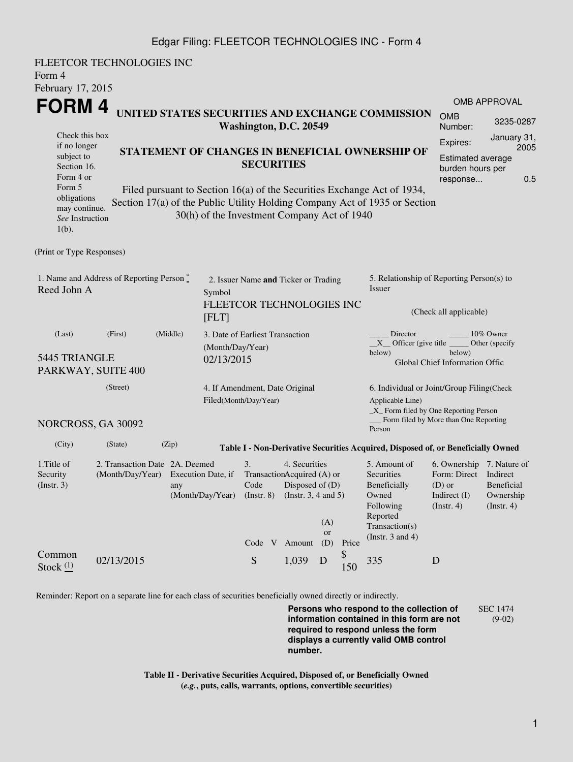## Edgar Filing: FLEETCOR TECHNOLOGIES INC - Form 4

FLEETCOR TECHNOLOGIES INC Form 4 February 17, 2015 **FORM 4** Check this box if no longer subject to Section 16. Form 4 or Form 5 obligations may continue. *See* Instruction  $1(h)$ . **UNITED STATES SECURITIES AND EXCHANGE COMMISSION Washington, D.C. 20549 STATEMENT OF CHANGES IN BENEFICIAL OWNERSHIP OF SECURITIES** Filed pursuant to Section 16(a) of the Securities Exchange Act of 1934, Section 17(a) of the Public Utility Holding Company Act of 1935 or Section 30(h) of the Investment Company Act of 1940 OMB APPROVAL OMB Number: 3235-0287 Expires: January 31, 2005 Estimated average burden hours per response... 0.5 (Print or Type Responses) 1. Name and Address of Reporting Person  $\degree$ Reed John A 2. Issuer Name **and** Ticker or Trading Symbol FLEETCOR TECHNOLOGIES INC [FLT] 5. Relationship of Reporting Person(s) to Issuer (Check all applicable) Director \_\_\_\_\_\_\_\_ 10% Owner  $X$ <sup>Officer</sup> (give title below) Other (specify below) Global Chief Information Offic (Last) (First) (Middle) 5445 TRIANGLE PARKWAY, SUITE 400 3. Date of Earliest Transaction (Month/Day/Year) 02/13/2015 (Street) NORCROSS, GA 30092 4. If Amendment, Date Original Filed(Month/Day/Year) 6. Individual or Joint/Group Filing(Check Applicable Line) \_X\_ Form filed by One Reporting Person Form filed by More than One Reporting Person (City) (State) (Zip) **Table I - Non-Derivative Securities Acquired, Disposed of, or Beneficially Owned** 1.Title of Security (Instr. 3) 2. Transaction Date 2A. Deemed (Month/Day/Year) Execution Date, if any (Month/Day/Year) 3. Transaction Acquired (A) or Code (Instr. 8) 4. Securities Disposed of (D) (Instr. 3, 4 and 5) 5. Amount of **Securities** Beneficially Owned Following Reported Transaction(s) (Instr. 3 and 4) 6. Ownership 7. Nature of Form: Direct Indirect (D) or Indirect (I) (Instr. 4) Beneficial Ownership (Instr. 4) Code V Amount  $(A)$ or (D) Price Common Stock  $\frac{(1)}{2}$  02/13/2015 S 1,039 D \$  $\frac{9}{150}$  335 D

Reminder: Report on a separate line for each class of securities beneficially owned directly or indirectly.

**Persons who respond to the collection of information contained in this form are not required to respond unless the form displays a currently valid OMB control number.** SEC 1474 (9-02)

**Table II - Derivative Securities Acquired, Disposed of, or Beneficially Owned (***e.g.***, puts, calls, warrants, options, convertible securities)**